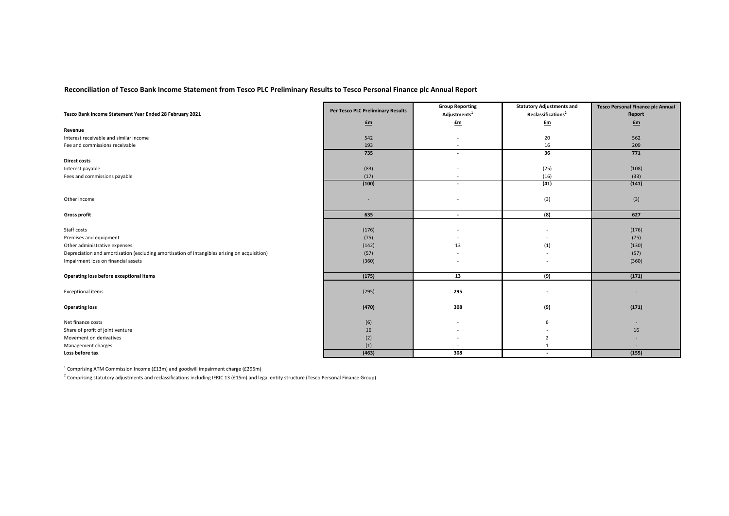## **Reconciliation of Tesco Bank Income Statement from Tesco PLC Preliminary Results to Tesco Personal Finance plc Annual Report**

| Tesco Bank Income Statement Year Ended 28 February 2021                                      | Per Tesco PLC Preliminary Results | <b>Group Reporting</b>   | <b>Statutory Adjustments and</b> | <b>Tesco Personal Finance plc Annual</b> |
|----------------------------------------------------------------------------------------------|-----------------------------------|--------------------------|----------------------------------|------------------------------------------|
|                                                                                              |                                   | Adjustments <sup>1</sup> | Reclassifications <sup>2</sup>   | Report                                   |
|                                                                                              | $f_{\text{m}}$                    | Em                       | £m                               | $fm$                                     |
| Revenue                                                                                      |                                   |                          |                                  |                                          |
| Interest receivable and similar income                                                       | 542                               |                          | 20                               | 562                                      |
| Fee and commissions receivable                                                               | 193                               | $\overline{\phantom{a}}$ | 16                               | 209                                      |
|                                                                                              | 735                               | $\overline{\phantom{a}}$ | 36                               | 771                                      |
| <b>Direct costs</b>                                                                          |                                   |                          |                                  |                                          |
| Interest payable                                                                             | (83)                              |                          | (25)                             | (108)                                    |
| Fees and commissions payable                                                                 | (17)                              | $\overline{\phantom{a}}$ | (16)                             | (33)                                     |
|                                                                                              | (100)                             | $\overline{\phantom{a}}$ | (41)                             | (141)                                    |
| Other income                                                                                 |                                   |                          | (3)                              | (3)                                      |
|                                                                                              |                                   |                          |                                  |                                          |
| <b>Gross profit</b>                                                                          | 635                               | $\sim$                   | (8)                              | 627                                      |
| Staff costs                                                                                  | (176)                             |                          |                                  | (176)                                    |
| Premises and equipment                                                                       | (75)                              | $\overline{\phantom{a}}$ |                                  | (75)                                     |
| Other administrative expenses                                                                | (142)                             | 13                       | (1)                              | (130)                                    |
| Depreciation and amortisation (excluding amortisation of intangibles arising on acquisition) | (57)                              |                          |                                  | (57)                                     |
| Impairment loss on financial assets                                                          | (360)                             |                          |                                  | (360)                                    |
|                                                                                              |                                   |                          |                                  |                                          |
| Operating loss before exceptional items                                                      | (175)                             | 13                       | (9)                              | (171)                                    |
| <b>Exceptional items</b>                                                                     | (295)                             | 295                      | $\overline{\phantom{a}}$         | ۰                                        |
| <b>Operating loss</b>                                                                        | (470)                             | 308                      | (9)                              | (171)                                    |
| Net finance costs                                                                            | (6)                               |                          | 6                                | $\overline{\phantom{a}}$                 |
| Share of profit of joint venture                                                             | 16                                |                          |                                  | 16                                       |
| Movement on derivatives                                                                      | (2)                               |                          |                                  |                                          |
| Management charges                                                                           | (1)                               |                          |                                  |                                          |
| Loss before tax                                                                              | (463)                             | 308                      | $\overline{\phantom{a}}$         | (155)                                    |

<sup>1</sup> Comprising ATM Commission Income (£13m) and goodwill impairment charge (£295m)

 $^2$  Comprising statutory adjustments and reclassifications including IFRIC 13 (£15m) and legal entity structure (Tesco Personal Finance Group)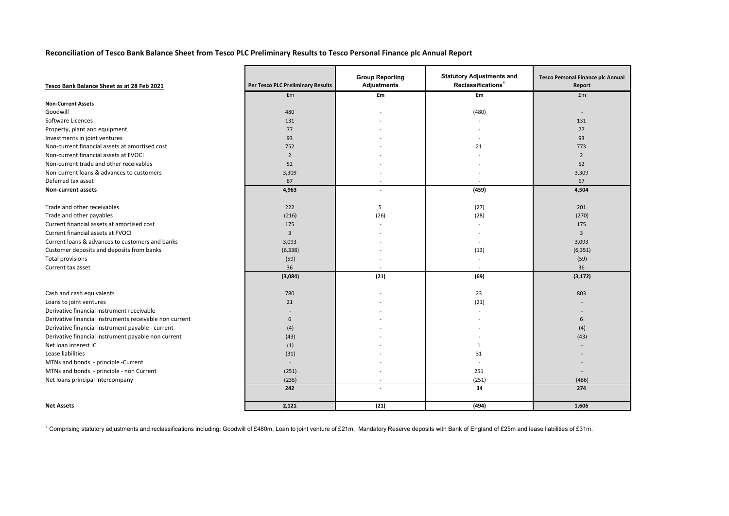## **Reconciliation of Tesco Bank Balance Sheet from Tesco PLC Preliminary Results to Tesco Personal Finance plc Annual Report**

| Tesco Bank Balance Sheet as at 28 Feb 2021              | Per Tesco PLC Preliminary Results | <b>Group Reporting</b><br><b>Adjustments</b> | <b>Statutory Adjustments and</b><br>Reclassifications <sup>1</sup> | <b>Tesco Personal Finance plc Annual</b><br>Report |
|---------------------------------------------------------|-----------------------------------|----------------------------------------------|--------------------------------------------------------------------|----------------------------------------------------|
|                                                         | £m                                | £m                                           | £m                                                                 | £m                                                 |
| <b>Non-Current Assets</b>                               |                                   |                                              |                                                                    |                                                    |
| Goodwill                                                | 480                               |                                              | (480)                                                              |                                                    |
| Software Licences                                       | 131                               |                                              |                                                                    | 131                                                |
| Property, plant and equipment                           | 77                                |                                              |                                                                    | 77                                                 |
| Investments in joint ventures                           | 93                                |                                              |                                                                    | 93                                                 |
| Non-current financial assets at amortised cost          | 752                               |                                              | 21                                                                 | 773                                                |
| Non-current financial assets at FVOCI                   | $\overline{2}$                    |                                              |                                                                    | $\overline{2}$                                     |
| Non-current trade and other receivables                 | 52                                |                                              |                                                                    | 52                                                 |
| Non-current loans & advances to customers               | 3,309                             |                                              |                                                                    | 3,309                                              |
| Deferred tax asset                                      | 67                                |                                              | $\overline{\phantom{a}}$                                           | 67                                                 |
| <b>Non-current assets</b>                               | 4,963                             |                                              | (459)                                                              | 4,504                                              |
|                                                         |                                   |                                              |                                                                    |                                                    |
| Trade and other receivables                             | 222                               | 5                                            | (27)                                                               | 201                                                |
| Trade and other payables                                | (216)                             | (26)                                         | (28)                                                               | (270)                                              |
| Current financial assets at amortised cost              | 175                               |                                              |                                                                    | 175                                                |
| Current financial assets at FVOCI                       | 3                                 |                                              |                                                                    | $\overline{3}$                                     |
| Current loans & advances to customers and banks         | 3,093                             |                                              |                                                                    | 3,093                                              |
| Customer deposits and deposits from banks               | (6, 338)                          |                                              | (13)                                                               | (6, 351)                                           |
| Total provisions                                        | (59)                              |                                              |                                                                    | (59)                                               |
| Current tax asset                                       | 36                                |                                              |                                                                    | 36                                                 |
|                                                         | (3,084)                           | (21)                                         | (69)                                                               | (3, 172)                                           |
|                                                         |                                   |                                              |                                                                    |                                                    |
| Cash and cash equivalents                               | 780                               |                                              | 23                                                                 | 803                                                |
| Loans to joint ventures                                 | 21                                |                                              | (21)                                                               |                                                    |
| Derivative financial instrument receivable              |                                   |                                              |                                                                    |                                                    |
| Derivative financial instruments receivable non current | 6                                 |                                              |                                                                    | 6                                                  |
| Derivative financial instrument payable - current       | (4)                               |                                              |                                                                    | (4)                                                |
| Derivative financial instrument payable non current     | (43)                              |                                              |                                                                    | (43)                                               |
| Net loan interest IC                                    | (1)                               |                                              | 1                                                                  |                                                    |
| Lease liabilities                                       | (31)                              |                                              | 31                                                                 |                                                    |
| MTNs and bonds - principle -Current                     | $\sim$                            |                                              | $\overline{\phantom{a}}$                                           |                                                    |
| MTNs and bonds - principle - non Current                | (251)                             |                                              | 251                                                                |                                                    |
| Net loans principal intercompany                        | (235)                             |                                              | (251)                                                              | (486)                                              |
|                                                         | 242                               |                                              | 34                                                                 | 274                                                |
| <b>Net Assets</b>                                       | 2.121                             | (21)                                         | (494)                                                              | 1,606                                              |

<sup>1</sup> Comprising statutory adjustments and reclassifications including: Goodwill of £480m, Loan to joint venture of £21m, Mandatory Reserve deposits with Bank of England of £25m and lease liabilities of £31m.